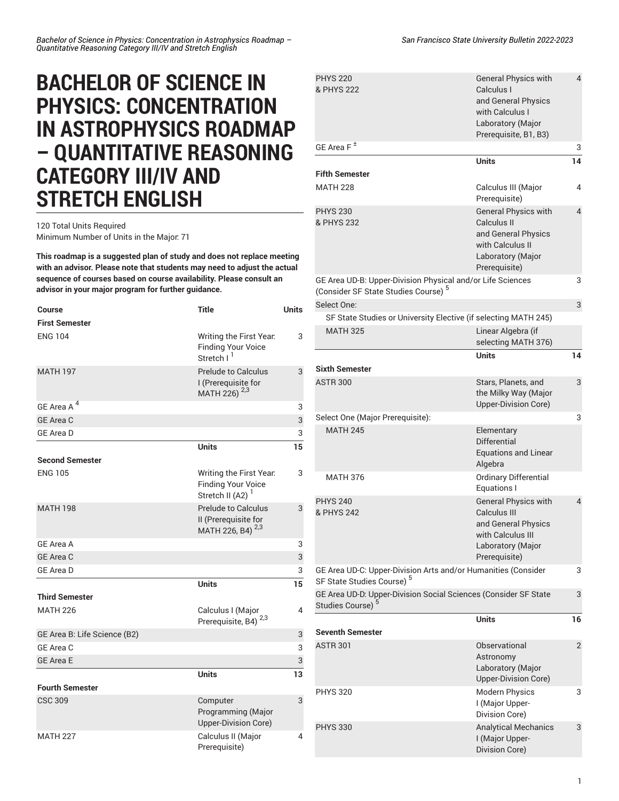## **BACHELOR OF SCIENCE IN PHYSICS: CONCENTRATION IN ASTROPHYSICS ROADMAP – QUANTITATIVE REASONING CATEGORY III/IV AND STRETCH ENGLISH**

## 120 Total Units Required Minimum Number of Units in the Major: 71

**This roadmap is a suggested plan of study and does not replace meeting with an advisor. Please note that students may need to adjust the actual sequence of courses based on course availability. Please consult an advisor in your major program for further guidance.**

| Course                       | <b>Title</b>                                                                         | <b>Units</b> |
|------------------------------|--------------------------------------------------------------------------------------|--------------|
| <b>First Semester</b>        |                                                                                      |              |
| <b>ENG 104</b>               | Writing the First Year.<br><b>Finding Your Voice</b><br>Stretch I <sup>1</sup>       | 3            |
| <b>MATH 197</b>              | <b>Prelude to Calculus</b><br>I (Prerequisite for<br>MATH 226) <sup>2,3</sup>        | 3            |
| GE Area A <sup>4</sup>       |                                                                                      | 3            |
| <b>GE Area C</b>             |                                                                                      | 3            |
| <b>GE Area D</b>             |                                                                                      | 3            |
|                              | <b>Units</b>                                                                         | 15           |
| <b>Second Semester</b>       |                                                                                      |              |
| <b>ENG 105</b>               | Writing the First Year.<br><b>Finding Your Voice</b><br>Stretch II (A2) <sup>1</sup> | 3            |
| <b>MATH 198</b>              | <b>Prelude to Calculus</b><br>II (Prerequisite for<br>MATH 226, B4) <sup>2,3</sup>   | 3            |
| <b>GE Area A</b>             |                                                                                      | 3            |
| <b>GE Area C</b>             |                                                                                      | 3            |
| <b>GE Area D</b>             |                                                                                      | 3            |
|                              | <b>Units</b>                                                                         | 15           |
| <b>Third Semester</b>        |                                                                                      |              |
| <b>MATH 226</b>              | Calculus I (Major<br>Prerequisite, B4) <sup>2,3</sup>                                | 4            |
| GE Area B: Life Science (B2) |                                                                                      | 3            |
| GE Area C                    |                                                                                      | 3            |
| <b>GE Area E</b>             |                                                                                      | 3            |
|                              | <b>Units</b>                                                                         | 13           |
| <b>Fourth Semester</b>       |                                                                                      |              |
| <b>CSC 309</b>               | Computer<br>Programming (Major<br><b>Upper-Division Core)</b>                        | 3            |
| <b>MATH 227</b>              | Calculus II (Major<br>Prerequisite)                                                  | 4            |

| <b>PHYS 220</b><br>& PHYS 222                                                                                 | <b>General Physics with</b><br>Calculus I<br>and General Physics<br>with Calculus I<br>Laboratory (Major<br>Prerequisite, B1, B3) | $\overline{\mathbf{4}}$ |
|---------------------------------------------------------------------------------------------------------------|-----------------------------------------------------------------------------------------------------------------------------------|-------------------------|
| GE Area $F^{\pm}$                                                                                             |                                                                                                                                   | 3                       |
|                                                                                                               | <b>Units</b>                                                                                                                      | 14                      |
| <b>Fifth Semester</b>                                                                                         |                                                                                                                                   |                         |
| <b>MATH 228</b>                                                                                               | Calculus III (Major<br>Prerequisite)                                                                                              | 4                       |
| <b>PHYS 230</b><br>& PHYS 232                                                                                 | <b>General Physics with</b><br>Calculus II<br>and General Physics<br>with Calculus II<br>Laboratory (Major<br>Prerequisite)       | 4                       |
| GE Area UD-B: Upper-Division Physical and/or Life Sciences<br>(Consider SF State Studies Course) <sup>5</sup> |                                                                                                                                   | 3                       |
| Select One:                                                                                                   |                                                                                                                                   | 3                       |
| SF State Studies or University Elective (if selecting MATH 245)                                               |                                                                                                                                   |                         |
| <b>MATH 325</b>                                                                                               | Linear Algebra (if<br>selecting MATH 376)                                                                                         |                         |
|                                                                                                               | <b>Units</b>                                                                                                                      | 14                      |
| <b>Sixth Semester</b>                                                                                         |                                                                                                                                   |                         |
| <b>ASTR 300</b>                                                                                               | Stars, Planets, and<br>the Milky Way (Major<br><b>Upper-Division Core)</b>                                                        | 3                       |
| Select One (Major Prerequisite):                                                                              |                                                                                                                                   | 3                       |
| <b>MATH 245</b>                                                                                               | Elementary<br>Differential<br><b>Equations and Linear</b><br>Algebra                                                              |                         |
| <b>MATH 376</b>                                                                                               | Ordinary Differential<br>Equations I                                                                                              |                         |
| <b>PHYS 240</b><br>& PHYS 242                                                                                 | <b>General Physics with</b><br>Calculus III<br>and General Physics<br>with Calculus III<br>Laboratory (Major<br>Prerequisite)     | $\overline{4}$          |
| GE Area UD-C: Upper-Division Arts and/or Humanities (Consider<br>SF State Studies Course) <sup>5</sup>        |                                                                                                                                   | 3                       |
| GE Area UD-D: Upper-Division Social Sciences (Consider SF State<br><b>Studies Course)</b>                     |                                                                                                                                   | 3                       |
|                                                                                                               | <b>Units</b>                                                                                                                      | 16                      |
| <b>Seventh Semester</b>                                                                                       |                                                                                                                                   |                         |
| <b>ASTR 301</b>                                                                                               | Observational<br>Astronomy<br>Laboratory (Major<br>Upper-Division Core)                                                           | 2                       |
| <b>PHYS 320</b>                                                                                               | Modern Physics<br>I (Major Upper-<br>Division Core)                                                                               | 3                       |
| <b>PHYS 330</b>                                                                                               | <b>Analytical Mechanics</b><br>I (Major Upper-<br>Division Core)                                                                  | 3                       |